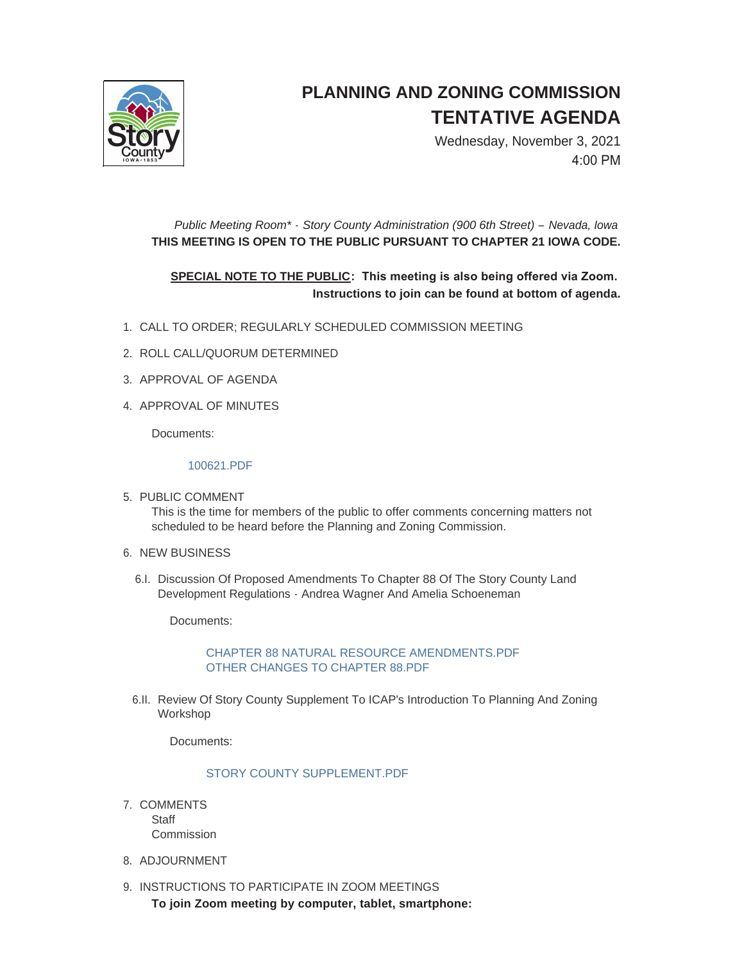

# **PLANNING AND ZONING COMMISSION TENTATIVE AGENDA**

Wednesday, November 3, 2021 4:00 PM

# *Public Meeting Room\* - Story County Administration (900 6th Street) – Nevada, Iowa* **THIS MEETING IS OPEN TO THE PUBLIC PURSUANT TO CHAPTER 21 IOWA CODE.**

## **SPECIAL NOTE TO THE PUBLIC: This meeting is also being offered via Zoom. Instructions to join can be found at bottom of agenda.**

- CALL TO ORDER; REGULARLY SCHEDULED COMMISSION MEETING 1.
- 2. ROLL CALL/QUORUM DETERMINED
- 3. APPROVAL OF AGENDA
- 4. APPROVAL OF MINUTES

Documents:

#### [100621.PDF](http://www.storycountyiowa.gov/AgendaCenter/ViewFile/Item/22515?fileID=17159)

- 5. PUBLIC COMMENT This is the time for members of the public to offer comments concerning matters not scheduled to be heard before the Planning and Zoning Commission.
- 6. NEW BUSINESS
	- 6.I. Discussion Of Proposed Amendments To Chapter 88 Of The Story County Land Development Regulations - Andrea Wagner And Amelia Schoeneman

Documents:

## [CHAPTER 88 NATURAL RESOURCE AMENDMENTS.PDF](http://www.storycountyiowa.gov/AgendaCenter/ViewFile/Item/22522?fileID=17160) [OTHER CHANGES TO CHAPTER 88.PDF](http://www.storycountyiowa.gov/AgendaCenter/ViewFile/Item/22522?fileID=17161)

6.II. Review Of Story County Supplement To ICAP's Introduction To Planning And Zoning Workshop

Documents:

## [STORY COUNTY SUPPLEMENT.PDF](http://www.storycountyiowa.gov/AgendaCenter/ViewFile/Item/22523?fileID=17163)

- 7. COMMENTS **Staff Commission**
- 8. ADJOURNMENT
- 9. INSTRUCTIONS TO PARTICIPATE IN ZOOM MEETINGS
	- **To join Zoom meeting by computer, tablet, smartphone:**